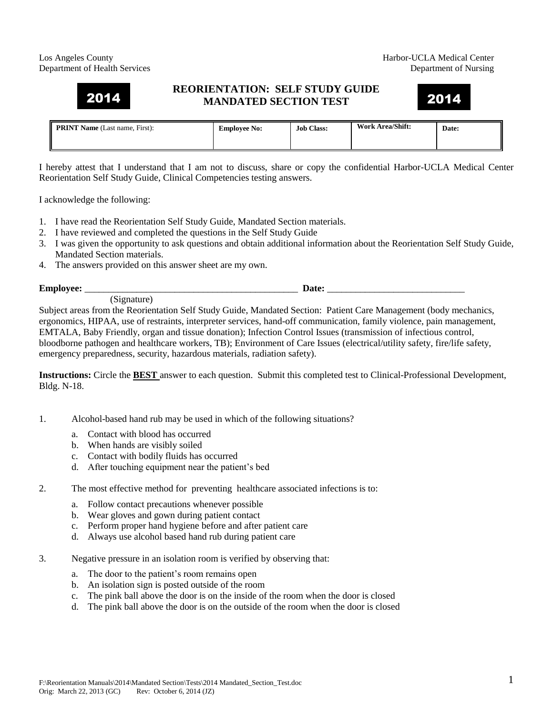## Los Angeles County **Harbor-UCLA Medical Center** Department of Health Services Department of Nursing

## **REORIENTATION: SELF STUDY GUIDE MANDATED SECTION TEST**  2014 2014

## **PRINT Name** (Last name, First): **Employee No: Job Class: Work Area/Shift: Date:**

I hereby attest that I understand that I am not to discuss, share or copy the confidential Harbor-UCLA Medical Center Reorientation Self Study Guide, Clinical Competencies testing answers.

I acknowledge the following:

- 1. I have read the Reorientation Self Study Guide, Mandated Section materials.
- 2. I have reviewed and completed the questions in the Self Study Guide
- 3. I was given the opportunity to ask questions and obtain additional information about the Reorientation Self Study Guide, Mandated Section materials.
- 4. The answers provided on this answer sheet are my own.

**Employee:**  $\blacksquare$ 

(Signature)

Subject areas from the Reorientation Self Study Guide, Mandated Section: Patient Care Management (body mechanics, ergonomics, HIPAA, use of restraints, interpreter services, hand-off communication, family violence, pain management, EMTALA, Baby Friendly, organ and tissue donation); Infection Control Issues (transmission of infectious control, bloodborne pathogen and healthcare workers, TB); Environment of Care Issues (electrical/utility safety, fire/life safety, emergency preparedness, security, hazardous materials, radiation safety).

**Instructions:** Circle the **BEST** answer to each question. Submit this completed test to Clinical-Professional Development, Bldg. N-18.

- 1. Alcohol-based hand rub may be used in which of the following situations?
	- a. Contact with blood has occurred
	- b. When hands are visibly soiled
	- c. Contact with bodily fluids has occurred
	- d. After touching equipment near the patient's bed
- 2. The most effective method for preventing healthcare associated infections is to:
	- a. Follow contact precautions whenever possible
	- b. Wear gloves and gown during patient contact
	- c. Perform proper hand hygiene before and after patient care
	- d. Always use alcohol based hand rub during patient care
- 3. Negative pressure in an isolation room is verified by observing that:
	- a. The door to the patient's room remains open
	- b. An isolation sign is posted outside of the room
	- c. The pink ball above the door is on the inside of the room when the door is closed
	- d. The pink ball above the door is on the outside of the room when the door is closed

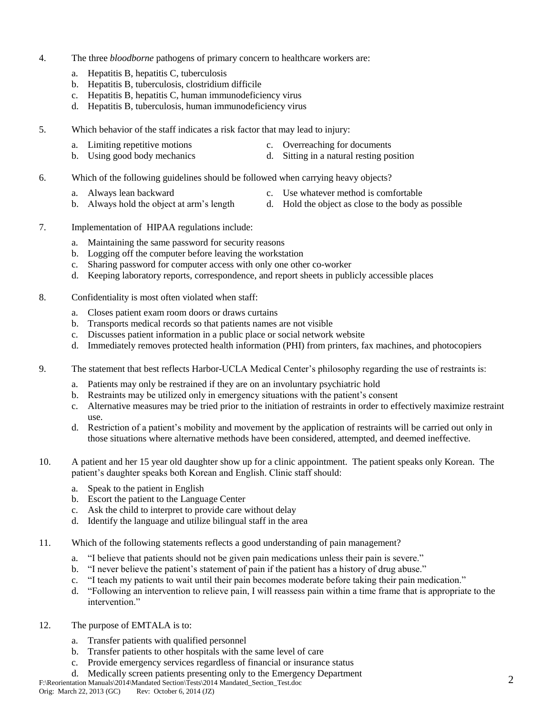- 4. The three *bloodborne* pathogens of primary concern to healthcare workers are:
	- a. Hepatitis B, hepatitis C, tuberculosis
	- b. Hepatitis B, tuberculosis, clostridium difficile
	- c. Hepatitis B, hepatitis C, human immunodeficiency virus
	- d. Hepatitis B, tuberculosis, human immunodeficiency virus
- 5. Which behavior of the staff indicates a risk factor that may lead to injury:
	- a. Limiting repetitive motions c. Overreaching for documents
	- b. Using good body mechanics d. Sitting in a natural resting position
- 6. Which of the following guidelines should be followed when carrying heavy objects?
	- a. Always lean backward c. Use whatever method is comfortable
	- b. Always hold the object at arm's length d. Hold the object as close to the body as possible
- 7. Implementation of HIPAA regulations include:
	- a. Maintaining the same password for security reasons
	- b. Logging off the computer before leaving the workstation
	- c. Sharing password for computer access with only one other co-worker
	- d. Keeping laboratory reports, correspondence, and report sheets in publicly accessible places
- 8. Confidentiality is most often violated when staff:
	- a. Closes patient exam room doors or draws curtains
	- b. Transports medical records so that patients names are not visible
	- c. Discusses patient information in a public place or social network website
	- d. Immediately removes protected health information (PHI) from printers, fax machines, and photocopiers
- 9. The statement that best reflects Harbor-UCLA Medical Center's philosophy regarding the use of restraints is:
	- a. Patients may only be restrained if they are on an involuntary psychiatric hold
	- b. Restraints may be utilized only in emergency situations with the patient's consent
	- c. Alternative measures may be tried prior to the initiation of restraints in order to effectively maximize restraint use.
	- d. Restriction of a patient's mobility and movement by the application of restraints will be carried out only in those situations where alternative methods have been considered, attempted, and deemed ineffective.
- 10. A patient and her 15 year old daughter show up for a clinic appointment. The patient speaks only Korean. The patient's daughter speaks both Korean and English. Clinic staff should:
	- a. Speak to the patient in English
	- b. Escort the patient to the Language Center
	- c. Ask the child to interpret to provide care without delay
	- d. Identify the language and utilize bilingual staff in the area
- 11. Which of the following statements reflects a good understanding of pain management?
	- a. "I believe that patients should not be given pain medications unless their pain is severe."
	- b. "I never believe the patient's statement of pain if the patient has a history of drug abuse."
	- c. "I teach my patients to wait until their pain becomes moderate before taking their pain medication."
	- d. "Following an intervention to relieve pain, I will reassess pain within a time frame that is appropriate to the intervention."
- 12. The purpose of EMTALA is to:
	- a. Transfer patients with qualified personnel
	- b. Transfer patients to other hospitals with the same level of care
	- c. Provide emergency services regardless of financial or insurance status
	- d. Medically screen patients presenting only to the Emergency Department
- F:\Reorientation Manuals\2014\Mandated Section\Tests\2014 Mandated\_Section\_Test.doc<br>Orig: March 22, 2013 (GC) Rev: October 6, 2014 (JZ)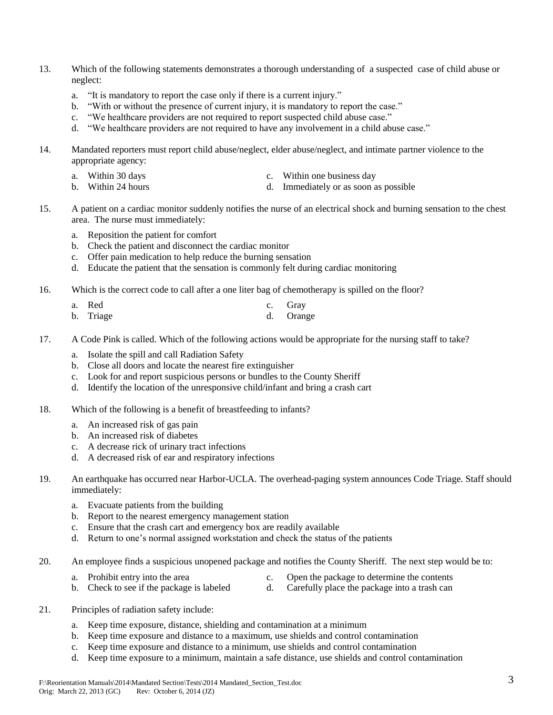- 13. Which of the following statements demonstrates a thorough understanding of a suspected case of child abuse or neglect:
	- a. "It is mandatory to report the case only if there is a current injury."
	- b. "With or without the presence of current injury, it is mandatory to report the case."
	- c. "We healthcare providers are not required to report suspected child abuse case."
	- d. "We healthcare providers are not required to have any involvement in a child abuse case."
- 14. Mandated reporters must report child abuse/neglect, elder abuse/neglect, and intimate partner violence to the appropriate agency:
	-
	- a. Within 30 days c. Within one business day
	- b. Within 24 hours d. Immediately or as soon as possible
- 15. A patient on a cardiac monitor suddenly notifies the nurse of an electrical shock and burning sensation to the chest area. The nurse must immediately:
	- a. Reposition the patient for comfort
	- b. Check the patient and disconnect the cardiac monitor
	- c. Offer pain medication to help reduce the burning sensation
	- d. Educate the patient that the sensation is commonly felt during cardiac monitoring
- 16. Which is the correct code to call after a one liter bag of chemotherapy is spilled on the floor?

| a. Red    | c. Gray   |
|-----------|-----------|
| b. Triage | d. Orange |

- 17. A Code Pink is called. Which of the following actions would be appropriate for the nursing staff to take?
	- a. Isolate the spill and call Radiation Safety
	- b. Close all doors and locate the nearest fire extinguisher
	- c. Look for and report suspicious persons or bundles to the County Sheriff
	- d. Identify the location of the unresponsive child/infant and bring a crash cart
- 18. Which of the following is a benefit of breastfeeding to infants?
	- a. An increased risk of gas pain
	- b. An increased risk of diabetes
	- c. A decrease rick of urinary tract infections
	- d. A decreased risk of ear and respiratory infections
- 19. An earthquake has occurred near Harbor-UCLA. The overhead-paging system announces Code Triage. Staff should immediately:
	- a. Evacuate patients from the building
	- b. Report to the nearest emergency management station
	- c. Ensure that the crash cart and emergency box are readily available
	- d. Return to one's normal assigned workstation and check the status of the patients
- 20. An employee finds a suspicious unopened package and notifies the County Sheriff. The next step would be to:
	- a. Prohibit entry into the area c. Open the package to determine the contents
	- b. Check to see if the package is labeled d. Carefully place the package into a trash can
- 21. Principles of radiation safety include:
	- a. Keep time exposure, distance, shielding and contamination at a minimum
	- b. Keep time exposure and distance to a maximum, use shields and control contamination
	- c. Keep time exposure and distance to a minimum, use shields and control contamination
	- d. Keep time exposure to a minimum, maintain a safe distance, use shields and control contamination